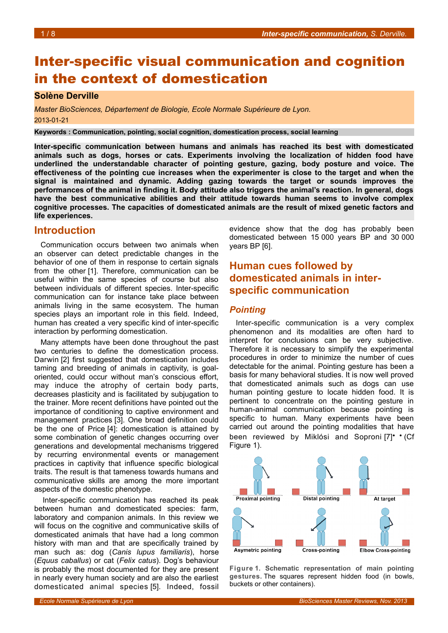# Inter-specific visual communication and cognition in the context of domestication

## **Solène Derville**

*Master BioSciences, Département de Biologie, Ecole Normale Supérieure de Lyon.* 2013-01-21

**Keywords : Communication, pointing, social cognition, domestication process, social learning**

**Inter-specific communication between humans and animals has reached its best with domesticated animals such as dogs, horses or cats. Experiments involving the localization of hidden food have underlined the understandable character of pointing gesture, gazing, body posture and voice. The effectiveness of the pointing cue increases when the experimenter is close to the target and when the signal is maintained and dynamic. Adding gazing towards the target or sounds improves the performances of the animal in finding it. Body attitude also triggers the animal's reaction. In general, dogs have the best communicative abilities and their attitude towards human seems to involve complex cognitive processes. The capacities of domesticated animals are the result of mixed genetic factors and life experiences.**

## **Introduction**

Communication occurs between two animals when an observer can detect predictable changes in the behavior of one of them in response to certain signals from the other [1]. Therefore, communication can be useful within the same species of course but also between individuals of different species. Inter-specific communication can for instance take place between animals living in the same ecosystem. The human species plays an important role in this field. Indeed, human has created a very specific kind of inter-specific interaction by performing domestication.

Many attempts have been done throughout the past two centuries to define the domestication process. Darwin [2] first suggested that domestication includes taming and breeding of animals in captivity, is goaloriented, could occur without man's conscious effort, may induce the atrophy of certain body parts, decreases plasticity and is facilitated by subjugation to the trainer. More recent definitions have pointed out the importance of conditioning to captive environment and management practices [3]. One broad definition could be the one of Price [4]: domestication is attained by some combination of genetic changes occurring over generations and developmental mechanisms triggered by recurring environmental events or management practices in captivity that influence specific biological traits. The result is that tameness towards humans and communicative skills are among the more important aspects of the domestic phenotype.

Inter-specific communication has reached its peak between human and domesticated species: farm, laboratory and companion animals. In this review we will focus on the cognitive and communicative skills of domesticated animals that have had a long common history with man and that are specifically trained by man such as: dog (*Canis lupus familiaris*), horse (*Equus caballus*) or cat (*Felix catus*). Dog's behaviour is probably the most documented for they are present in nearly every human society and are also the earliest domesticated animal species [5]. Indeed, fossil evidence show that the dog has probably been domesticated between 15 000 years BP and 30 000 years BP [6].

## **Human cues followed by domesticated animals in interspecific communication**

### *Pointing*

Inter-specific communication is a very complex phenomenon and its modalities are often hard to interpret for conclusions can be very subjective. Therefore it is necessary to simplify the experimental procedures in order to minimize the number of cues detectable for the animal. Pointing gesture has been a basis for many behavioral studies. It is now well proved that domesticated animals such as dogs can use human pointing gesture to locate hidden food. It is pertinent to concentrate on the pointing gesture in human-animal communication because pointing is specific to human. Many experiments have been carried out around the pointing modalities that have been reviewed by Miklósi and Soproni [7]• • (Cf Figure [1\)](#page-0-0).



<span id="page-0-0"></span>**Figure 1. Schematic representation of main pointing gestures.** The squares represent hidden food (in bowls, buckets or other containers).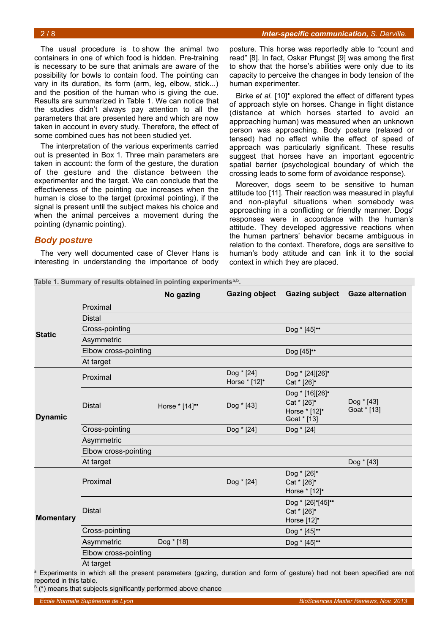The usual procedure is to show the animal two containers in one of which food is hidden. Pre-training is necessary to be sure that animals are aware of the possibility for bowls to contain food. The pointing can vary in its duration, its form (arm, leg, elbow, stick...) and the position of the human who is giving the cue. Results are summarized in Table [1.](#page-1-0) We can notice that the studies didn't always pay attention to all the parameters that are presented here and which are now taken in account in every study. Therefore, the effect of some combined cues has not been studied yet.

The interpretation of the various experiments carried out is presented in Box [1.](#page-2-0) Three main parameters are taken in account: the form of the gesture, the duration of the gesture and the distance between the experimenter and the target. We can conclude that the effectiveness of the pointing cue increases when the human is close to the target (proximal pointing), if the signal is present until the subject makes his choice and when the animal perceives a movement during the pointing (dynamic pointing).

### *Body posture*

The very well documented case of Clever Hans is interesting in understanding the importance of body

posture. This horse was reportedly able to "count and read" [8]. In fact, Oskar Pfungst [9] was among the first to show that the horse's abilities were only due to its capacity to perceive the changes in body tension of the human experimenter.

Birke *et al.* [10]• explored the effect of different types of approach style on horses. Change in flight distance (distance at which horses started to avoid an approaching human) was measured when an unknown person was approaching. Body posture (relaxed or tensed) had no effect while the effect of speed of approach was particularly significant. These results suggest that horses have an important egocentric spatial barrier (psychological boundary of which the crossing leads to some form of avoidance response).

Moreover, dogs seem to be sensitive to human attitude too [11]. Their reaction was measured in playful and non-playful situations when somebody was approaching in a conflicting or friendly manner. Dogs' responses were in accordance with the human's attitude. They developed aggressive reactions when the human partners' behavior became ambiguous in relation to the context. Therefore, dogs are sensitive to human's body attitude and can link it to the social context in which they are placed.

<span id="page-1-0"></span>**Table 1. Summary of results obtained in pointing experimentsa,b .**

|                                           |                                                                                                                   | No gazing      | <b>Gazing object</b>        |                                                                | Gazing subject Gaze alternation |
|-------------------------------------------|-------------------------------------------------------------------------------------------------------------------|----------------|-----------------------------|----------------------------------------------------------------|---------------------------------|
| <b>Static</b>                             | Proximal                                                                                                          |                |                             |                                                                |                                 |
|                                           | <b>Distal</b>                                                                                                     |                |                             |                                                                |                                 |
|                                           | Cross-pointing                                                                                                    |                |                             | Dog * [45]"                                                    |                                 |
|                                           | Asymmetric                                                                                                        |                |                             |                                                                |                                 |
|                                           | Elbow cross-pointing                                                                                              |                |                             | Dog [45]**                                                     |                                 |
|                                           | At target                                                                                                         |                |                             |                                                                |                                 |
| <b>Dynamic</b>                            | Proximal                                                                                                          |                | Dog * [24]<br>Horse * [12]* | Dog * [24][26]*<br>Cat * [26]*                                 |                                 |
|                                           | <b>Distal</b>                                                                                                     | Horse * [14]** | Dog * [43]                  | Dog * [16][26]*<br>Cat * [26]*<br>Horse * [12]*<br>Goat * [13] | Dog * [43]<br>Goat * [13]       |
|                                           | Cross-pointing                                                                                                    |                | Dog * [24]                  | Dog * [24]                                                     |                                 |
|                                           | Asymmetric                                                                                                        |                |                             |                                                                |                                 |
|                                           | Elbow cross-pointing                                                                                              |                |                             |                                                                |                                 |
|                                           | At target                                                                                                         |                |                             |                                                                | Dog * [43]                      |
| <b>Momentary</b><br>$2.5cm$ $\frac{1}{2}$ | Proximal                                                                                                          |                | Dog * [24]                  | Dog * [26]*<br>Cat * [26]*<br>Horse * [12]*                    |                                 |
|                                           | <b>Distal</b>                                                                                                     |                |                             | Dog * [26]*[45]**<br>Cat * [26]*<br>Horse [12]*                |                                 |
|                                           | Cross-pointing                                                                                                    |                |                             | Dog * [45]"                                                    |                                 |
|                                           | Asymmetric                                                                                                        | Dog * [18]     |                             | Dog * [45]"                                                    |                                 |
|                                           | Elbow cross-pointing                                                                                              |                |                             |                                                                |                                 |
|                                           | At target<br>in which all the present perspective (conjug direction and form of continua) had not been executed a |                |                             |                                                                |                                 |

a Experiments in which all the present parameters (gazing, duration and form of gesture) had not been specified are not reported in this table.

<sup>B</sup> (\*) means that subjects significantly performed above chance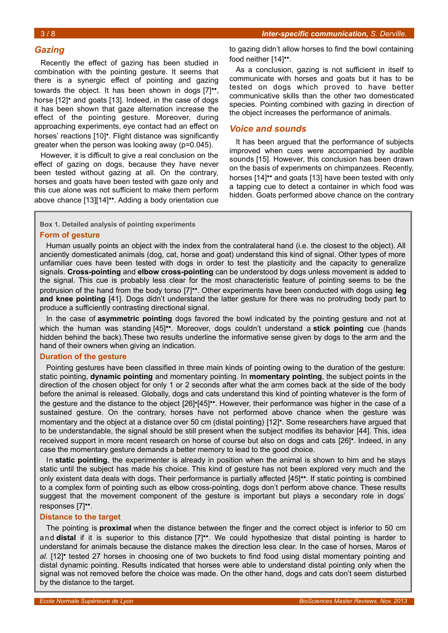## *Gazing*

Recently the effect of gazing has been studied in combination with the pointing gesture. It seems that there is a synergic effect of pointing and gazing towards the object. It has been shown in dogs [7]••, horse [12]<sup>•</sup> and goats [13]. Indeed, in the case of dogs it has been shown that gaze alternation increase the effect of the pointing gesture. Moreover, during approaching experiments, eye contact had an effect on horses' reactions [10]•. Flight distance was significantly greater when the person was looking away (p=0.045).

However, it is difficult to give a real conclusion on the effect of gazing on dogs, because they have never been tested without gazing at all. On the contrary, horses and goats have been tested with gaze only and this cue alone was not sufficient to make them perform above chance [13][14]••. Adding a body orientation cue to gazing didn't allow horses to find the bowl containing food neither [14]••.

As a conclusion, gazing is not sufficient in itself to communicate with horses and goats but it has to be tested on dogs which proved to have better communicative skills than the other two domesticated species. Pointing combined with gazing in direction of the object increases the performance of animals.

## *Voice and sounds*

It has been argued that the performance of subjects improved when cues were accompanied by audible sounds [15]. However, this conclusion has been drawn on the basis of experiments on chimpanzees. Recently, horses [14]<sup>\*\*</sup> and goats [13] have been tested with only a tapping cue to detect a container in which food was hidden. Goats performed above chance on the contrary

<span id="page-2-0"></span>**Box 1. Detailed analysis of pointing experiments**

### **Form of gesture**

Human usually points an object with the index from the contralateral hand (i.e. the closest to the object). All anciently domesticated animals (dog, cat, horse and goat) understand this kind of signal. Other types of more unfamiliar cues have been tested with dogs in order to test the plasticity and the capacity to generalize signals. **Cross-pointing** and **elbow cross-pointing** can be understood by dogs unless movement is added to the signal. This cue is probably less clear for the most characteristic feature of pointing seems to be the protrusion of the hand from the body torso [7]••. Other experiments have been conducted with dogs using **leg and knee pointing** [41]. Dogs didn't understand the latter gesture for there was no protruding body part to produce a sufficiently contrasting directional signal.

In the case of **asymmetric pointing** dogs favored the bowl indicated by the pointing gesture and not at which the human was standing [45]••. Moreover, dogs couldn't understand a **stick pointing** cue (hands hidden behind the back).These two results underline the informative sense given by dogs to the arm and the hand of their owners when giving an indication.

## **Duration of the gesture**

Pointing gestures have been classified in three main kinds of pointing owing to the duration of the gesture: static pointing, **dynamic pointing** and momentary pointing. In **momentary pointing**, the subject points in the direction of the chosen object for only 1 or 2 seconds after what the arm comes back at the side of the body before the animal is released. Globally, dogs and cats understand this kind of pointing whatever is the form of the gesture and the distance to the object [26]•[45]••. However, their performance was higher in the case of a sustained gesture. On the contrary, horses have not performed above chance when the gesture was momentary and the object at a distance over 50 cm (distal pointing) [12]•. Some researchers have argued that to be understandable, the signal should be still present when the subject modifies its behavior [44]. This, idea received support in more recent research on horse of course but also on dogs and cats [26]•. Indeed, in any case the momentary gesture demands a better memory to lead to the good choice.

In **static pointing**, the experimenter is already in position when the animal is shown to him and he stays static until the subject has made his choice. This kind of gesture has not been explored very much and the only existent data deals with dogs. Their performance is partially affected [45]••. If static pointing is combined to a complex form of pointing such as elbow cross-pointing, dogs don't perform above chance. These results suggest that the movement component of the gesture is important but plays a secondary role in dogs' responses [7]••.

### **Distance to the target**

The pointing is **proximal** when the distance between the finger and the correct object is inferior to 50 cm and **distal** if it is superior to this distance [7]••. We could hypothesize that distal pointing is harder to understand for animals because the distance makes the direction less clear. In the case of horses, Maros *et al.* [12]• tested 27 horses in choosing one of two buckets to find food using distal momentary pointing and distal dynamic pointing. Results indicated that horses were able to understand distal pointing only when the signal was not removed before the choice was made. On the other hand, dogs and cats don't seem disturbed by the distance to the target.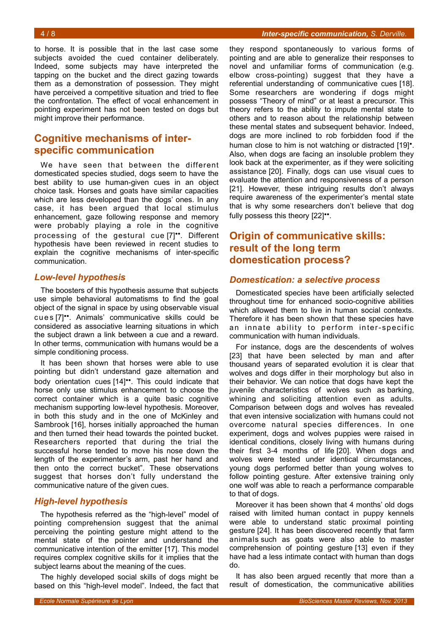to horse. It is possible that in the last case some subjects avoided the cued container deliberately. Indeed, some subjects may have interpreted the tapping on the bucket and the direct gazing towards them as a demonstration of possession. They might have perceived a competitive situation and tried to flee the confrontation. The effect of vocal enhancement in pointing experiment has not been tested on dogs but might improve their performance.

## **Cognitive mechanisms of interspecific communication**

We have seen that between the different domesticated species studied, dogs seem to have the best ability to use human-given cues in an object choice task. Horses and goats have similar capacities which are less developed than the dogs' ones. In any case, it has been argued that local stimulus enhancement, gaze following response and memory were probably playing a role in the cognitive processing of the gestural cue [7]••. Different hypothesis have been reviewed in recent studies to explain the cognitive mechanisms of inter-specific communication.

## *Low-level hypothesis*

The boosters of this hypothesis assume that subjects use simple behavioral automatisms to find the goal object of the signal in space by using observable visual cues [7]<sup>••</sup>. Animals' communicative skills could be considered as associative learning situations in which the subject drawn a link between a cue and a reward. In other terms, communication with humans would be a simple conditioning process.

It has been shown that horses were able to use pointing but didn't understand gaze alternation and body orientation cues [14]••. This could indicate that horse only use stimulus enhancement to choose the correct container which is a quite basic cognitive mechanism supporting low-level hypothesis. Moreover, in both this study and in the one of McKinley and Sambrook [16], horses initially approached the human and then turned their head towards the pointed bucket. Researchers reported that during the trial the successful horse tended to move his nose down the length of the experimenter's arm, past her hand and then onto the correct bucket". These observations suggest that horses don't fully understand the communicative nature of the given cues.

## *High-level hypothesis*

The hypothesis referred as the "high-level" model of pointing comprehension suggest that the animal perceiving the pointing gesture might attend to the mental state of the pointer and understand the communicative intention of the emitter [17]. This model requires complex cognitive skills for it implies that the subject learns about the meaning of the cues.

The highly developed social skills of dogs might be based on this "high-level model". Indeed, the fact that

they respond spontaneously to various forms of pointing and are able to generalize their responses to novel and unfamiliar forms of communication (e.g. elbow cross-pointing) suggest that they have a referential understanding of communicative cues [18]. Some researchers are wondering if dogs might possess "Theory of mind" or at least a precursor. This theory refers to the ability to impute mental state to others and to reason about the relationship between these mental states and subsequent behavior. Indeed, dogs are more inclined to rob forbidden food if the human close to him is not watching or distracted [19]<sup>•</sup>. Also, when dogs are facing an insoluble problem they look back at the experimenter, as if they were soliciting assistance [20]. Finally, dogs can use visual cues to evaluate the attention and responsiveness of a person [21]. However, these intriguing results don't always require awareness of the experimenter's mental state that is why some researchers don't believe that dog fully possess this theory [22]••.

## **Origin of communicative skills: result of the long term domestication process?**

## *Domestication: a selective process*

Domesticated species have been artificially selected throughout time for enhanced socio-cognitive abilities which allowed them to live in human social contexts. Therefore it has been shown that these species have an innate ability to perform inter-specific communication with human individuals.

For instance, dogs are the descendents of wolves [23] that have been selected by man and after thousand years of separated evolution it is clear that wolves and dogs differ in their morphology but also in their behavior. We can notice that dogs have kept the juvenile characteristics of wolves such as barking, whining and soliciting attention even as adults. Comparison between dogs and wolves has revealed that even intensive socialization with humans could not overcome natural species differences. In one experiment, dogs and wolves puppies were raised in identical conditions, closely living with humans during their first 3-4 months of life [20]. When dogs and wolves were tested under identical circumstances, young dogs performed better than young wolves to follow pointing gesture. After extensive training only one wolf was able to reach a performance comparable to that of dogs.

Moreover it has been shown that 4 months' old dogs raised with limited human contact in puppy kennels were able to understand static proximal pointing gesture [24]. It has been discovered recently that farm animals such as goats were also able to master comprehension of pointing gesture [13] even if they have had a less intimate contact with human than dogs do.

It has also been argued recently that more than a result of domestication, the communicative abilities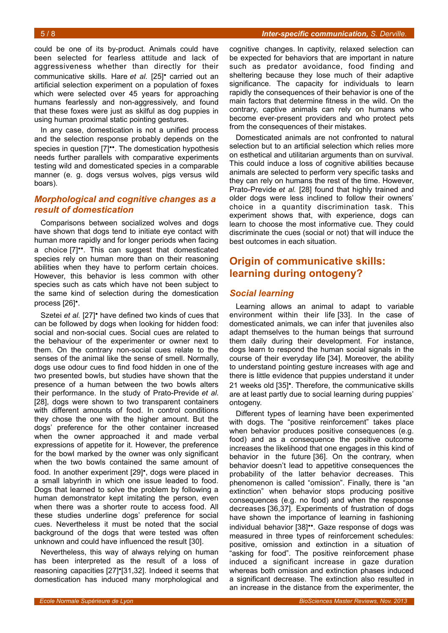### 5 / 8 *Inter-specific communication, S. Derville.*

could be one of its by-product. Animals could have been selected for fearless attitude and lack of aggressiveness whether than directly for their communicative skills. Hare *et al.* [25]• carried out an artificial selection experiment on a population of foxes which were selected over 45 years for approaching humans fearlessly and non-aggressively, and found that these foxes were just as skilful as dog puppies in using human proximal static pointing gestures.

In any case, domestication is not a unified process and the selection response probably depends on the species in question [7]<sup>\*\*</sup>. The domestication hypothesis needs further parallels with comparative experiments testing wild and domesticated species in a comparable manner (e. g. dogs versus wolves, pigs versus wild boars).

## *Morphological and cognitive changes as a result of domestication*

Comparisons between socialized wolves and dogs have shown that dogs tend to initiate eye contact with human more rapidly and for longer periods when facing a choice [7]••. This can suggest that domesticated species rely on human more than on their reasoning abilities when they have to perform certain choices. However, this behavior is less common with other species such as cats which have not been subject to the same kind of selection during the domestication process [26]•.

Szetei *et al.* [27]• have defined two kinds of cues that can be followed by dogs when looking for hidden food: social and non-social cues. Social cues are related to the behaviour of the experimenter or owner next to them. On the contrary non-social cues relate to the senses of the animal like the sense of smell. Normally, dogs use odour cues to find food hidden in one of the two presented bowls, but studies have shown that the presence of a human between the two bowls alters their performance. In the study of Prato-Previde *et al.* [28], dogs were shown to two transparent containers with different amounts of food. In control conditions they chose the one with the higher amount. But the dogs' preference for the other container increased when the owner approached it and made verbal expressions of appetite for it. However, the preference for the bowl marked by the owner was only significant when the two bowls contained the same amount of food. In another experiment [29]•, dogs were placed in a small labyrinth in which one issue leaded to food. Dogs that learned to solve the problem by following a human demonstrator kept imitating the person, even when there was a shorter route to access food. All these studies underline dogs' preference for social cues. Nevertheless it must be noted that the social background of the dogs that were tested was often unknown and could have influenced the result [30].

Nevertheless, this way of always relying on human has been interpreted as the result of a loss of reasoning capacities [27]•[31,32]. Indeed it seems that domestication has induced many morphological and

cognitive changes. In captivity, relaxed selection can be expected for behaviors that are important in nature such as predator avoidance, food finding and sheltering because they lose much of their adaptive significance. The capacity for individuals to learn rapidly the consequences of their behavior is one of the main factors that determine fitness in the wild. On the contrary, captive animals can rely on humans who become ever-present providers and who protect pets from the consequences of their mistakes.

Domesticated animals are not confronted to natural selection but to an artificial selection which relies more on esthetical and utilitarian arguments than on survival. This could induce a loss of cognitive abilities because animals are selected to perform very specific tasks and they can rely on humans the rest of the time. However, Prato-Previde *et al.* [28] found that highly trained and older dogs were less inclined to follow their owners' choice in a quantity discrimination task. This experiment shows that, with experience, dogs can learn to choose the most informative cue. They could discriminate the cues (social or not) that will induce the best outcomes in each situation.

## **Origin of communicative skills: learning during ontogeny?**

## *Social learning*

Learning allows an animal to adapt to variable environment within their life [33]. In the case of domesticated animals, we can infer that juveniles also adapt themselves to the human beings that surround them daily during their development. For instance, dogs learn to respond the human social signals in the course of their everyday life [34]. Moreover, the ability to understand pointing gesture increases with age and there is little evidence that puppies understand it under 21 weeks old [35]•. Therefore, the communicative skills are at least partly due to social learning during puppies' ontogeny.

Different types of learning have been experimented with dogs. The "positive reinforcement" takes place when behavior produces positive consequences (e.g. food) and as a consequence the positive outcome increases the likelihood that one engages in this kind of behavior in the future [36]. On the contrary, when behavior doesn't lead to appetitive consequences the probability of the latter behavior decreases. This phenomenon is called "omission". Finally, there is "an extinction" when behavior stops producing positive consequences (e.g. no food) and when the response decreases [36,37]. Experiments of frustration of dogs have shown the importance of learning in fashioning individual behavior [38]••. Gaze response of dogs was measured in three types of reinforcement schedules: positive, omission and extinction in a situation of "asking for food". The positive reinforcement phase induced a significant increase in gaze duration whereas both omission and extinction phases induced a significant decrease. The extinction also resulted in an increase in the distance from the experimenter, the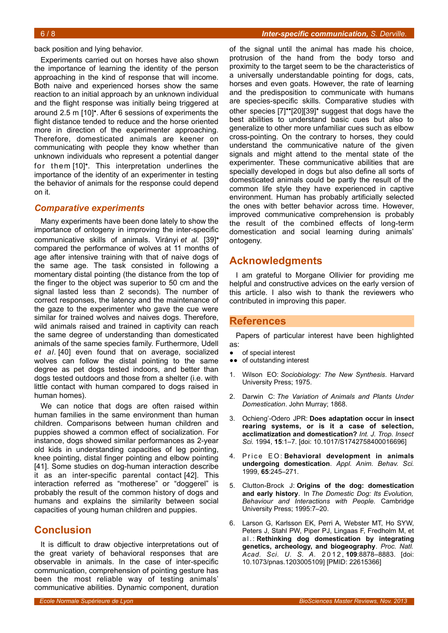back position and lying behavior.

Experiments carried out on horses have also shown the importance of learning the identity of the person approaching in the kind of response that will income. Both naive and experienced horses show the same reaction to an initial approach by an unknown individual and the flight response was initially being triggered at around 2.5 m [10]•. After 6 sessions of experiments the flight distance tended to reduce and the horse oriented more in direction of the experimenter approaching. Therefore, domesticated animals are keener on communicating with people they know whether than unknown individuals who represent a potential danger for them [10]•. This interpretation underlines the importance of the identity of an experimenter in testing the behavior of animals for the response could depend on it.

## *Comparative experiments*

Many experiments have been done lately to show the importance of ontogeny in improving the inter-specific communicative skills of animals. Virányi *et al.* [39]• compared the performance of wolves at 11 months of age after intensive training with that of naive dogs of the same age. The task consisted in following a momentary distal pointing (the distance from the top of the finger to the object was superior to 50 cm and the signal lasted less than 2 seconds). The number of correct responses, the latency and the maintenance of the gaze to the experimenter who gave the cue were similar for trained wolves and naives dogs. Therefore, wild animals raised and trained in captivity can reach the same degree of understanding than domesticated animals of the same species family. Furthermore, Udell *et al.* [40] even found that on average, socialized wolves can follow the distal pointing to the same degree as pet dogs tested indoors, and better than dogs tested outdoors and those from a shelter (i.e. with little contact with human compared to dogs raised in human homes).

We can notice that dogs are often raised within human families in the same environment than human children. Comparisons between human children and puppies showed a common effect of socialization. For instance, dogs showed similar performances as 2-year old kids in understanding capacities of leg pointing, knee pointing, distal finger pointing and elbow pointing [41]. Some studies on dog-human interaction describe it as an inter-specific parental contact [42]. This interaction referred as "motherese" or "doggerel" is probably the result of the common history of dogs and humans and explains the similarity between social capacities of young human children and puppies.

## **Conclusion**

It is difficult to draw objective interpretations out of the great variety of behavioral responses that are observable in animals. In the case of inter-specific communication, comprehension of pointing gesture has been the most reliable way of testing animals' communicative abilities. Dynamic component, duration

of the signal until the animal has made his choice, protrusion of the hand from the body torso and proximity to the target seem to be the characteristics of a universally understandable pointing for dogs, cats, horses and even goats. However, the rate of learning and the predisposition to communicate with humans are species-specific skills. Comparative studies with other species [7]••[20][39]• suggest that dogs have the best abilities to understand basic cues but also to generalize to other more unfamiliar cues such as elbow cross-pointing. On the contrary to horses, they could understand the communicative nature of the given signals and might attend to the mental state of the experimenter. These communicative abilities that are specially developed in dogs but also define all sorts of domesticated animals could be partly the result of the common life style they have experienced in captive environment. Human has probably artificially selected the ones with better behavior across time. However, improved communicative comprehension is probably the result of the combined effects of long-term domestication and social learning during animals' ontogeny.

## **Acknowledgments**

I am grateful to Morgane Ollivier for providing me helpful and constructive advices on the early version of this article. I also wish to thank the reviewers who contributed in improving this paper.

## **References**

Papers of particular interest have been highlighted as:

- of special interest
- ●● of outstanding interest
- 1. Wilson EO: *Sociobiology: The New Synthesis*. Harvard University Press; 1975.
- 2. Darwin C: *The Variation of Animals and Plants Under Domestication*. John Murray; 1868.
- 3. Ochieng'-Odero JPR: **Does adaptation occur in insect rearing systems, or is it a case of selection, acclimatization and domestication?** *Int. J. Trop. Insect Sci.* 1994, **15**:1–7. [doi: 10.1017/S1742758400016696]
- 4. Price EO: Behavioral development in animals **undergoing domestication**. *Appl. Anim. Behav. Sci.* 1999, **65**:245–271.
- 5. Clutton-Brock J: **Origins of the dog: domestication and early history**. In *The Domestic Dog: Its Evolution, Behaviour and Interactions with People.* Cambridge University Press; 1995:7–20.
- 6. Larson G, Karlsson EK, Perri A, Webster MT, Ho SYW, Peters J, Stahl PW, Piper PJ, Lingaas F, Fredholm M, et a l . : **Rethinking dog domestication by integrating genetics, archeology, and biogeography**. *Proc. Natl. Acad. Sci. U. S. A.* 2 0 1 2 , **109**:8878–8883. [doi: 10.1073/pnas.1203005109] [PMID: 22615366]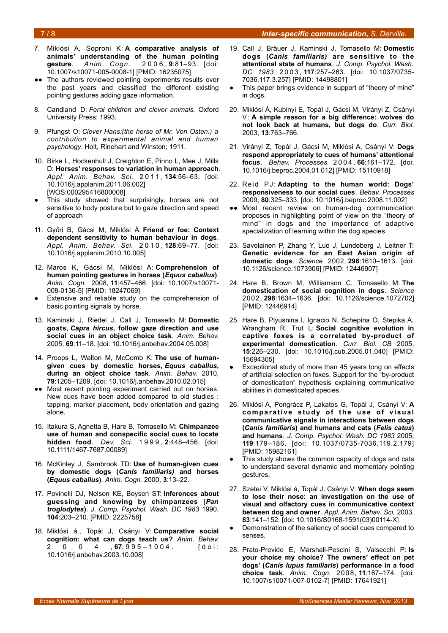#### 7 / 8 *Inter-specific communication, S. Derville.*

- 7. Miklósi A, Soproni K: **A comparative analysis of animals' understanding of the human pointing gesture**. *Anim. Cogn.* 2 0 0 6 , **9**:81–93. [doi: 10.1007/s10071-005-0008-1] [PMID: 16235075]
- The authors reviewed pointing experiments results over the past years and classified the different existing pointing gestures adding gaze information.
- 8. Candland D: *Feral children and clever animals.* Oxford University Press; 1993.
- 9. Pfungst O: *Clever Hans:(the horse of Mr. Von Osten.) a contribution to experimental animal and human psychology*. Holt, Rinehart and Winston; 1911.
- 10. Birke L, Hockenhull J, Creighton E, Pinno L, Mee J, Mills D: **Horses' responses to variation in human approach**. *Appl. Anim. Behav. Sci.* 2 0 1 1 , **134**:56–63. [doi: 10.1016/j.applanim.2011.06.002] [WOS:000295416800008]
- This study showed that surprisingly, horses are not sensitive to body posture but to gaze direction and speed of approach
- 11. Győri B, Gácsi M, Miklósi Á: **Friend or foe: Context dependent sensitivity to human behaviour in dogs**. *Appl. Anim. Behav. Sci.* 2 0 1 0 , **128**:69–77. [doi: 10.1016/j.applanim.2010.10.005]
- 12. Maros K, Gácsi M, Miklósi A: **Comprehension of human pointing gestures in horses (***Equus caballus***)**. *Anim. Cogn.* 2008, **11**:457–466. [doi: 10.1007/s10071- 008-0136-5] [PMID: 18247069]
- Extensive and reliable study on the comprehension of basic pointing signals by horse.
- 13. Kaminski J, Riedel J, Call J, Tomasello M: **Domestic goats,** *Capra hircus***, follow gaze direction and use social cues in an object choice task**. *Anim. Behav.* 2005, **69**:11–18. [doi: 10.1016/j.anbehav.2004.05.008]
- 14. Proops L, Walton M, McComb K: **The use of humangiven cues by domestic horses,** *Equus caballus***, during an object choice task**. *Anim. Behav.* 2010, **79**:1205–1209. [doi: 10.1016/j.anbehav.2010.02.015]
- •• Most recent pointing experiment carried out on horses. New cues have been added compared to old studies : tapping, marker placement, body orientation and gazing alone.
- 15. Itakura S, Agnetta B, Hare B, Tomasello M: **Chimpanzee use of human and conspecific social cues to locate hidden food**. *Dev. Sci.* 1 9 9 9 , **2**:448–456. [doi: 10.1111/1467-7687.00089]
- 16. McKinley J, Sambrook TD: **Use of human-given cues by domestic dogs (***Canis familiaris)* **and horses (***Equus caballus***)**. *Anim. Cogn.* 2000, **3**:13–22.
- 17. Povinelli DJ, Nelson KE, Boysen ST: **Inferences about guessing and knowing by chimpanzees (***Pan troglodytes***)**. *J. Comp. Psychol. Wash. DC 1983* 1990, **104**:203–210. [PMID: 2225758]
- 18. Miklósi á., Topál J, Csányi V: **Comparative social cognition: what can dogs teach us?** *Anim. Behav.*  $2 \t 0 \t 0 \t 4 \t 67:995-1004$ . [doi: 10.1016/j.anbehav.2003.10.008]
- 19. Call J, Bräuer J, Kaminski J, Tomasello M: **Domestic dogs (***Canis familiaris)* **are sensitive to the attentional state of humans**. *J. Comp. Psychol. Wash. DC 1983* 2 0 0 3 , **117**:257–263. [doi: 10.1037/0735- 7036.117.3.257] [PMID: 14498801]
- This paper brings evidence in support of "theory of mind" in dogs.
- 20. Miklósi Á, Kubinyi E, Topál J, Gácsi M, Virányi Z, Csányi V: A simple reason for a big difference: wolves do **not look back at humans, but dogs do**. *Curr. Biol.* 2003, **13**:763–766.
- 21. Virányi Z, Topál J, Gácsi M, Miklósi A, Csányi V: **Dogs respond appropriately to cues of humans' attentional focus**. *Behav. Processes* 2 0 0 4 , **66**:161–172. [doi: 10.1016/j.beproc.2004.01.012] [PMID: 15110918]
- 22. Reid PJ: **Adapting to the human world: Dogs' responsiveness to our social cues**. *Behav. Processes* 2009, **80**:325–333. [doi: 10.1016/j.beproc.2008.11.002]
- ●● Most recent review on human-dog communication proposes in highlighting point of view on the "theory of mind" in dogs and the importance of adaptive specialization of learning within the dog species.
- 23. Savolainen P, Zhang Y, Luo J, Lundeberg J, Leitner T: **Genetic evidence for an East Asian origin of domestic dogs**. *Science* 2002, **298**:1610–1613. [doi: 10.1126/science.1073906] [PMID: 12446907]
- 24. Hare B, Brown M, Williamson C, Tomasello M: **The domestication of social cognition in dogs**. *Science* 2002, **298**:1634–1636. [doi: 10.1126/science.1072702] [PMID: 12446914]
- 25. Hare B, Plyusnina I, Ignacio N, Schepina O, Stepika A, Wrangham R, Trut L: **Social cognitive evolution in captive foxes is a correlated by-product of experimental domestication**. *Curr. Biol. CB* 2005, **15**:226–230. [doi: 10.1016/j.cub.2005.01.040] [PMID: 15694305]
- Exceptional study of more than 45 years long on effects of artificial selection on foxes. Support for the "by-product of domestication" hypothesis explaining communicative abilities in domesticated species.
- 26. Miklósi A, Pongrácz P, Lakatos G, Topál J, Csányi V: **A** comparative study of the use of visual **communicative signals in interactions between dogs (***Canis familiaris***) and humans and cats (***Felis catus***) and humans**. *J. Comp. Psychol. Wash. DC 1983* 2005, **119**:179–186. [doi: 10.1037/0735-7036.119.2.179] [PMID: 15982161]
- This study shows the common capacity of dogs and cats to understand several dynamic and momentary pointing gestures.
- 27. Szetei V, Miklósi á, Topál J, Csányi V: **When dogs seem to lose their nose: an investigation on the use of visual and olfactory cues in communicative context between dog and owner**. *Appl. Anim. Behav. Sci.* 2003, **83**:141–152. [doi: 10.1016/S0168-1591(03)00114-X]
- Demonstration of the saliency of social cues compared to senses.
- 28. Prato-Previde E, Marshall-Pescini S, Valsecchi P: **Is your choice my choice? The owners' effect on pet dogs' (***Canis lupus familiaris***) performance in a food choice task**. *Anim. Cogn.* 2008, **11**:167–174. [doi: 10.1007/s10071-007-0102-7] [PMID: 17641921]